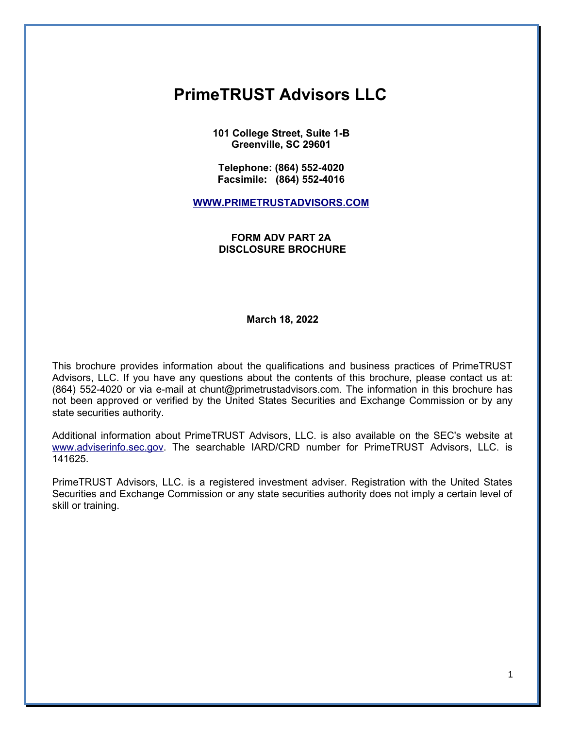# **PrimeTRUST Advisors LLC**

**101 College Street, Suite 1-B Greenville, SC 29601** 

**Telephone: (864) 552-4020 Facsimile: (864) 552-4016** 

**[WWW.PRIMETRUSTADVISORS.COM](file:///tmp/pdfdocs/WWW.PRIMETRUSTADVISORS.COM)**

### **FORM ADV PART 2A DISCLOSURE BROCHURE**

**March 18, 2022**

This brochure provides information about the qualifications and business practices of PrimeTRUST Advisors, LLC. If you have any questions about the contents of this brochure, please contact us at: (864) 552-4020 or via e-mail at chunt@primetrustadvisors.com. The information in this brochure has not been approved or verified by the United States Securities and Exchange Commission or by any state securities authority.

Additional information about PrimeTRUST Advisors, LLC. is also available on the SEC's website at [www.adviserinfo.sec.gov.](http://www.adviserinfo.sec.gov/) The searchable IARD/CRD number for PrimeTRUST Advisors, LLC. is 141625.

PrimeTRUST Advisors, LLC. is a registered investment adviser. Registration with the United States Securities and Exchange Commission or any state securities authority does not imply a certain level of skill or training.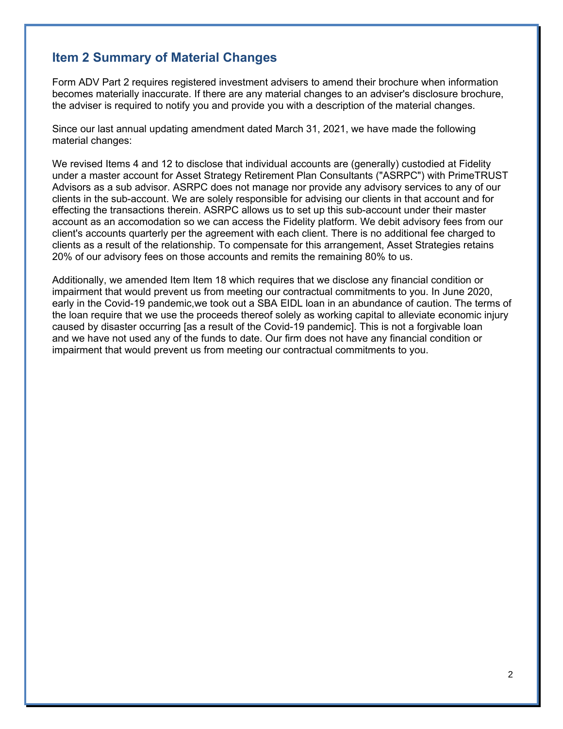## **Item 2 Summary of Material Changes**

Form ADV Part 2 requires registered investment advisers to amend their brochure when information becomes materially inaccurate. If there are any material changes to an adviser's disclosure brochure, the adviser is required to notify you and provide you with a description of the material changes.

Since our last annual updating amendment dated March 31, 2021, we have made the following material changes:

We revised Items 4 and 12 to disclose that individual accounts are (generally) custodied at Fidelity under a master account for Asset Strategy Retirement Plan Consultants ("ASRPC") with PrimeTRUST Advisors as a sub advisor. ASRPC does not manage nor provide any advisory services to any of our clients in the sub-account. We are solely responsible for advising our clients in that account and for effecting the transactions therein. ASRPC allows us to set up this sub-account under their master account as an accomodation so we can access the Fidelity platform. We debit advisory fees from our client's accounts quarterly per the agreement with each client. There is no additional fee charged to clients as a result of the relationship. To compensate for this arrangement, Asset Strategies retains 20% of our advisory fees on those accounts and remits the remaining 80% to us.

Additionally, we amended Item Item 18 which requires that we disclose any financial condition or impairment that would prevent us from meeting our contractual commitments to you. In June 2020, early in the Covid-19 pandemic,we took out a SBA EIDL loan in an abundance of caution. The terms of the loan require that we use the proceeds thereof solely as working capital to alleviate economic injury caused by disaster occurring [as a result of the Covid-19 pandemic]. This is not a forgivable loan and we have not used any of the funds to date. Our firm does not have any financial condition or impairment that would prevent us from meeting our contractual commitments to you.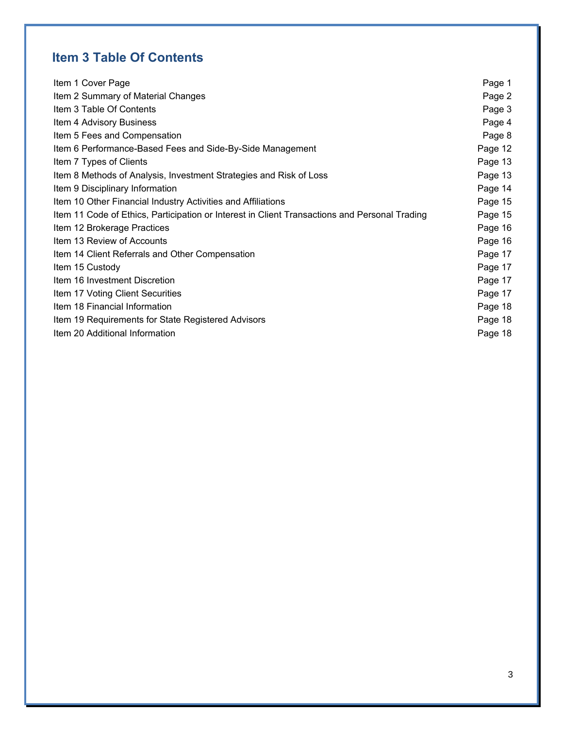## **Item 3 Table Of Contents**

| Item 1 Cover Page                                                                             | Page 1  |
|-----------------------------------------------------------------------------------------------|---------|
| Item 2 Summary of Material Changes                                                            | Page 2  |
| Item 3 Table Of Contents                                                                      | Page 3  |
| Item 4 Advisory Business                                                                      | Page 4  |
| Item 5 Fees and Compensation                                                                  | Page 8  |
| Item 6 Performance-Based Fees and Side-By-Side Management                                     | Page 12 |
| Item 7 Types of Clients                                                                       | Page 13 |
| Item 8 Methods of Analysis, Investment Strategies and Risk of Loss                            | Page 13 |
| Item 9 Disciplinary Information                                                               | Page 14 |
| Item 10 Other Financial Industry Activities and Affiliations                                  | Page 15 |
| Item 11 Code of Ethics, Participation or Interest in Client Transactions and Personal Trading | Page 15 |
| Item 12 Brokerage Practices                                                                   | Page 16 |
| Item 13 Review of Accounts                                                                    | Page 16 |
| Item 14 Client Referrals and Other Compensation                                               | Page 17 |
| Item 15 Custody                                                                               | Page 17 |
| Item 16 Investment Discretion                                                                 | Page 17 |
| Item 17 Voting Client Securities                                                              | Page 17 |
| Item 18 Financial Information                                                                 | Page 18 |
| Item 19 Requirements for State Registered Advisors                                            | Page 18 |
| Item 20 Additional Information                                                                | Page 18 |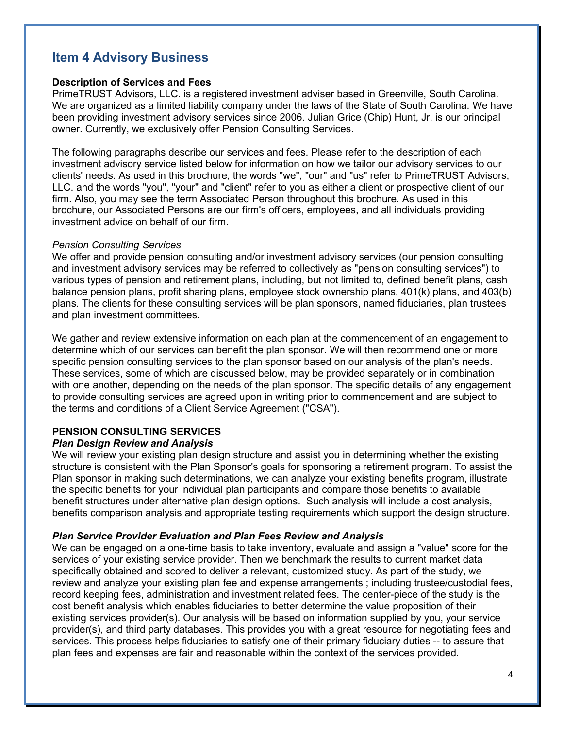## **Item 4 Advisory Business**

### **Description of Services and Fees**

PrimeTRUST Advisors, LLC. is a registered investment adviser based in Greenville, South Carolina. We are organized as a limited liability company under the laws of the State of South Carolina. We have been providing investment advisory services since 2006. Julian Grice (Chip) Hunt, Jr. is our principal owner. Currently, we exclusively offer Pension Consulting Services.

The following paragraphs describe our services and fees. Please refer to the description of each investment advisory service listed below for information on how we tailor our advisory services to our clients' needs. As used in this brochure, the words "we", "our" and "us" refer to PrimeTRUST Advisors, LLC. and the words "you", "your" and "client" refer to you as either a client or prospective client of our firm. Also, you may see the term Associated Person throughout this brochure. As used in this brochure, our Associated Persons are our firm's officers, employees, and all individuals providing investment advice on behalf of our firm.

#### *Pension Consulting Services*

We offer and provide pension consulting and/or investment advisory services (our pension consulting and investment advisory services may be referred to collectively as "pension consulting services") to various types of pension and retirement plans, including, but not limited to, defined benefit plans, cash balance pension plans, profit sharing plans, employee stock ownership plans, 401(k) plans, and 403(b) plans. The clients for these consulting services will be plan sponsors, named fiduciaries, plan trustees and plan investment committees.

We gather and review extensive information on each plan at the commencement of an engagement to determine which of our services can benefit the plan sponsor. We will then recommend one or more specific pension consulting services to the plan sponsor based on our analysis of the plan's needs. These services, some of which are discussed below, may be provided separately or in combination with one another, depending on the needs of the plan sponsor. The specific details of any engagement to provide consulting services are agreed upon in writing prior to commencement and are subject to the terms and conditions of a Client Service Agreement ("CSA").

### **PENSION CONSULTING SERVICES**

### *Plan Design Review and Analysis*

We will review your existing plan design structure and assist you in determining whether the existing structure is consistent with the Plan Sponsor's goals for sponsoring a retirement program. To assist the Plan sponsor in making such determinations, we can analyze your existing benefits program, illustrate the specific benefits for your individual plan participants and compare those benefits to available benefit structures under alternative plan design options. Such analysis will include a cost analysis, benefits comparison analysis and appropriate testing requirements which support the design structure.

### *Plan Service Provider Evaluation and Plan Fees Review and Analysis*

We can be engaged on a one-time basis to take inventory, evaluate and assign a "value" score for the services of your existing service provider. Then we benchmark the results to current market data specifically obtained and scored to deliver a relevant, customized study. As part of the study, we review and analyze your existing plan fee and expense arrangements ; including trustee/custodial fees, record keeping fees, administration and investment related fees. The center-piece of the study is the cost benefit analysis which enables fiduciaries to better determine the value proposition of their existing services provider(s). Our analysis will be based on information supplied by you, your service provider(s), and third party databases. This provides you with a great resource for negotiating fees and services. This process helps fiduciaries to satisfy one of their primary fiduciary duties -- to assure that plan fees and expenses are fair and reasonable within the context of the services provided.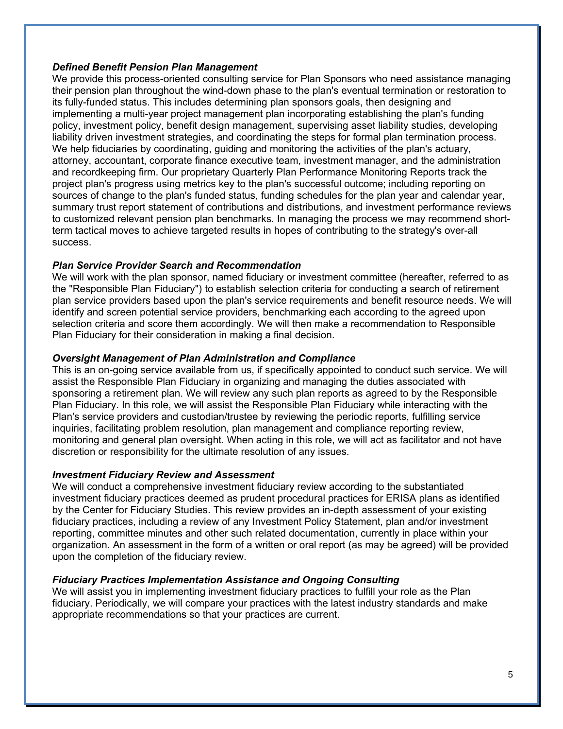### *Defined Benefit Pension Plan Management*

We provide this process-oriented consulting service for Plan Sponsors who need assistance managing their pension plan throughout the wind-down phase to the plan's eventual termination or restoration to its fully-funded status. This includes determining plan sponsors goals, then designing and implementing a multi-year project management plan incorporating establishing the plan's funding policy, investment policy, benefit design management, supervising asset liability studies, developing liability driven investment strategies, and coordinating the steps for formal plan termination process. We help fiduciaries by coordinating, guiding and monitoring the activities of the plan's actuary, attorney, accountant, corporate finance executive team, investment manager, and the administration and recordkeeping firm. Our proprietary Quarterly Plan Performance Monitoring Reports track the project plan's progress using metrics key to the plan's successful outcome; including reporting on sources of change to the plan's funded status, funding schedules for the plan year and calendar year, summary trust report statement of contributions and distributions, and investment performance reviews to customized relevant pension plan benchmarks. In managing the process we may recommend shortterm tactical moves to achieve targeted results in hopes of contributing to the strategy's over-all success.

## *Plan Service Provider Search and Recommendation*

We will work with the plan sponsor, named fiduciary or investment committee (hereafter, referred to as the "Responsible Plan Fiduciary") to establish selection criteria for conducting a search of retirement plan service providers based upon the plan's service requirements and benefit resource needs. We will identify and screen potential service providers, benchmarking each according to the agreed upon selection criteria and score them accordingly. We will then make a recommendation to Responsible Plan Fiduciary for their consideration in making a final decision.

## *Oversight Management of Plan Administration and Compliance*

This is an on-going service available from us, if specifically appointed to conduct such service. We will assist the Responsible Plan Fiduciary in organizing and managing the duties associated with sponsoring a retirement plan. We will review any such plan reports as agreed to by the Responsible Plan Fiduciary. In this role, we will assist the Responsible Plan Fiduciary while interacting with the Plan's service providers and custodian/trustee by reviewing the periodic reports, fulfilling service inquiries, facilitating problem resolution, plan management and compliance reporting review, monitoring and general plan oversight. When acting in this role, we will act as facilitator and not have discretion or responsibility for the ultimate resolution of any issues.

## *Investment Fiduciary Review and Assessment*

We will conduct a comprehensive investment fiduciary review according to the substantiated investment fiduciary practices deemed as prudent procedural practices for ERISA plans as identified by the Center for Fiduciary Studies. This review provides an in-depth assessment of your existing fiduciary practices, including a review of any Investment Policy Statement, plan and/or investment reporting, committee minutes and other such related documentation, currently in place within your organization. An assessment in the form of a written or oral report (as may be agreed) will be provided upon the completion of the fiduciary review.

## *Fiduciary Practices Implementation Assistance and Ongoing Consulting*

We will assist you in implementing investment fiduciary practices to fulfill your role as the Plan fiduciary. Periodically, we will compare your practices with the latest industry standards and make appropriate recommendations so that your practices are current.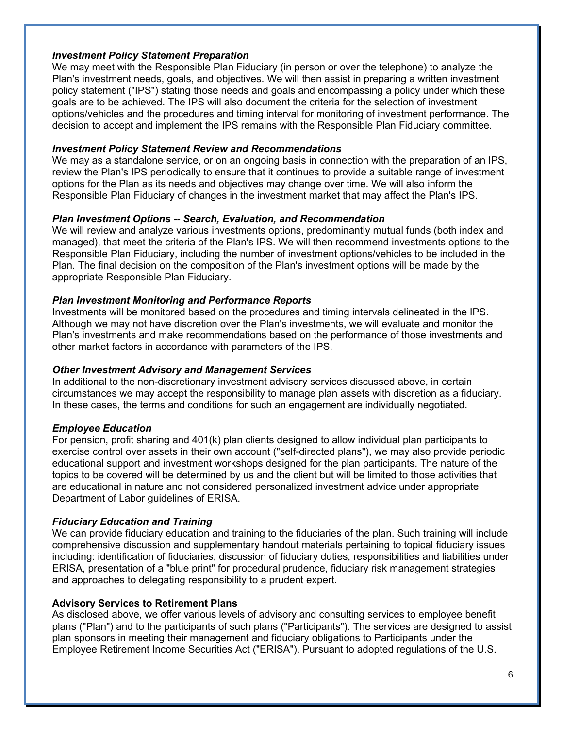## *Investment Policy Statement Preparation*

We may meet with the Responsible Plan Fiduciary (in person or over the telephone) to analyze the Plan's investment needs, goals, and objectives. We will then assist in preparing a written investment policy statement ("IPS") stating those needs and goals and encompassing a policy under which these goals are to be achieved. The IPS will also document the criteria for the selection of investment options/vehicles and the procedures and timing interval for monitoring of investment performance. The decision to accept and implement the IPS remains with the Responsible Plan Fiduciary committee.

### *Investment Policy Statement Review and Recommendations*

We may as a standalone service, or on an ongoing basis in connection with the preparation of an IPS, review the Plan's IPS periodically to ensure that it continues to provide a suitable range of investment options for the Plan as its needs and objectives may change over time. We will also inform the Responsible Plan Fiduciary of changes in the investment market that may affect the Plan's IPS.

### *Plan Investment Options -- Search, Evaluation, and Recommendation*

We will review and analyze various investments options, predominantly mutual funds (both index and managed), that meet the criteria of the Plan's IPS. We will then recommend investments options to the Responsible Plan Fiduciary, including the number of investment options/vehicles to be included in the Plan. The final decision on the composition of the Plan's investment options will be made by the appropriate Responsible Plan Fiduciary.

### *Plan Investment Monitoring and Performance Reports*

Investments will be monitored based on the procedures and timing intervals delineated in the IPS. Although we may not have discretion over the Plan's investments, we will evaluate and monitor the Plan's investments and make recommendations based on the performance of those investments and other market factors in accordance with parameters of the IPS.

### *Other Investment Advisory and Management Services*

In additional to the non-discretionary investment advisory services discussed above, in certain circumstances we may accept the responsibility to manage plan assets with discretion as a fiduciary. In these cases, the terms and conditions for such an engagement are individually negotiated.

### *Employee Education*

For pension, profit sharing and 401(k) plan clients designed to allow individual plan participants to exercise control over assets in their own account ("self-directed plans"), we may also provide periodic educational support and investment workshops designed for the plan participants. The nature of the topics to be covered will be determined by us and the client but will be limited to those activities that are educational in nature and not considered personalized investment advice under appropriate Department of Labor guidelines of ERISA.

### *Fiduciary Education and Training*

We can provide fiduciary education and training to the fiduciaries of the plan. Such training will include comprehensive discussion and supplementary handout materials pertaining to topical fiduciary issues including: identification of fiduciaries, discussion of fiduciary duties, responsibilities and liabilities under ERISA, presentation of a "blue print" for procedural prudence, fiduciary risk management strategies and approaches to delegating responsibility to a prudent expert.

### **Advisory Services to Retirement Plans**

As disclosed above, we offer various levels of advisory and consulting services to employee benefit plans ("Plan") and to the participants of such plans ("Participants"). The services are designed to assist plan sponsors in meeting their management and fiduciary obligations to Participants under the Employee Retirement Income Securities Act ("ERISA"). Pursuant to adopted regulations of the U.S.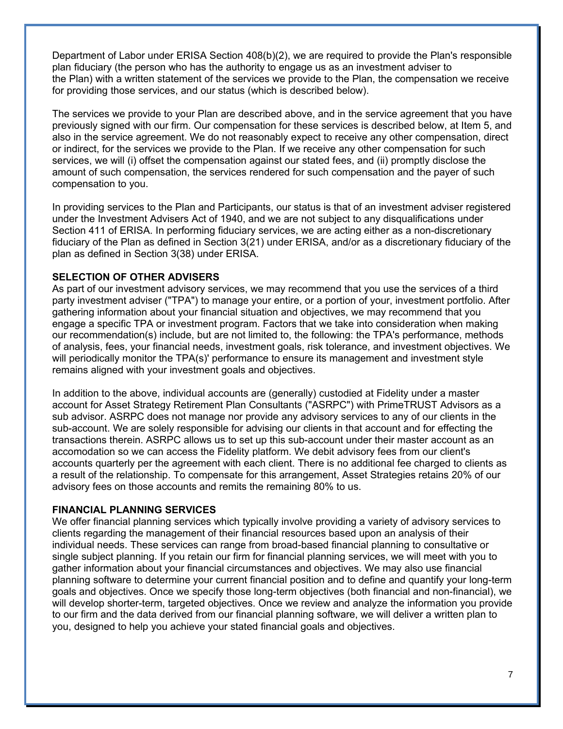Department of Labor under ERISA Section 408(b)(2), we are required to provide the Plan's responsible plan fiduciary (the person who has the authority to engage us as an investment adviser to the Plan) with a written statement of the services we provide to the Plan, the compensation we receive for providing those services, and our status (which is described below).

The services we provide to your Plan are described above, and in the service agreement that you have previously signed with our firm. Our compensation for these services is described below, at Item 5, and also in the service agreement. We do not reasonably expect to receive any other compensation, direct or indirect, for the services we provide to the Plan. If we receive any other compensation for such services, we will (i) offset the compensation against our stated fees, and (ii) promptly disclose the amount of such compensation, the services rendered for such compensation and the payer of such compensation to you.

In providing services to the Plan and Participants, our status is that of an investment adviser registered under the Investment Advisers Act of 1940, and we are not subject to any disqualifications under Section 411 of ERISA. In performing fiduciary services, we are acting either as a non-discretionary fiduciary of the Plan as defined in Section 3(21) under ERISA, and/or as a discretionary fiduciary of the plan as defined in Section 3(38) under ERISA.

### **SELECTION OF OTHER ADVISERS**

As part of our investment advisory services, we may recommend that you use the services of a third party investment adviser ("TPA") to manage your entire, or a portion of your, investment portfolio. After gathering information about your financial situation and objectives, we may recommend that you engage a specific TPA or investment program. Factors that we take into consideration when making our recommendation(s) include, but are not limited to, the following: the TPA's performance, methods of analysis, fees, your financial needs, investment goals, risk tolerance, and investment objectives. We will periodically monitor the TPA(s)' performance to ensure its management and investment style remains aligned with your investment goals and objectives.

In addition to the above, individual accounts are (generally) custodied at Fidelity under a master account for Asset Strategy Retirement Plan Consultants ("ASRPC") with PrimeTRUST Advisors as a sub advisor. ASRPC does not manage nor provide any advisory services to any of our clients in the sub-account. We are solely responsible for advising our clients in that account and for effecting the transactions therein. ASRPC allows us to set up this sub-account under their master account as an accomodation so we can access the Fidelity platform. We debit advisory fees from our client's accounts quarterly per the agreement with each client. There is no additional fee charged to clients as a result of the relationship. To compensate for this arrangement, Asset Strategies retains 20% of our advisory fees on those accounts and remits the remaining 80% to us.

### **FINANCIAL PLANNING SERVICES**

We offer financial planning services which typically involve providing a variety of advisory services to clients regarding the management of their financial resources based upon an analysis of their individual needs. These services can range from broad-based financial planning to consultative or single subject planning. If you retain our firm for financial planning services, we will meet with you to gather information about your financial circumstances and objectives. We may also use financial planning software to determine your current financial position and to define and quantify your long-term goals and objectives. Once we specify those long-term objectives (both financial and non-financial), we will develop shorter-term, targeted objectives. Once we review and analyze the information you provide to our firm and the data derived from our financial planning software, we will deliver a written plan to you, designed to help you achieve your stated financial goals and objectives.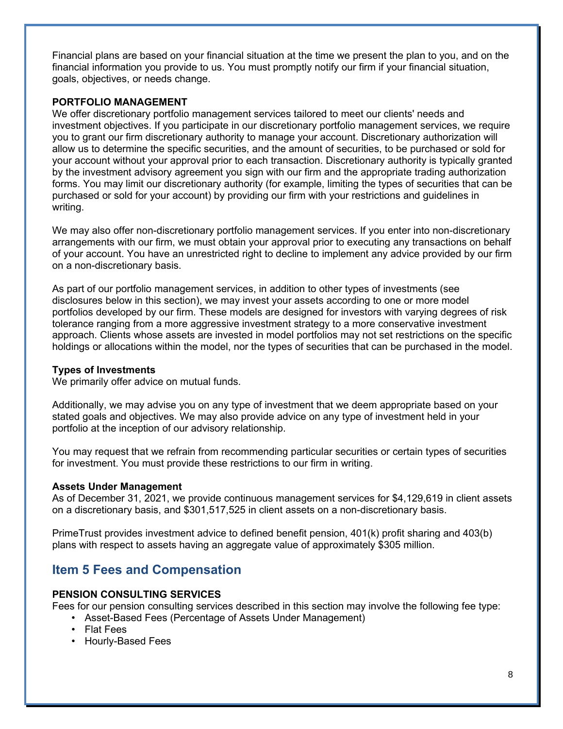Financial plans are based on your financial situation at the time we present the plan to you, and on the financial information you provide to us. You must promptly notify our firm if your financial situation, goals, objectives, or needs change.

## **PORTFOLIO MANAGEMENT**

We offer discretionary portfolio management services tailored to meet our clients' needs and investment objectives. If you participate in our discretionary portfolio management services, we require you to grant our firm discretionary authority to manage your account. Discretionary authorization will allow us to determine the specific securities, and the amount of securities, to be purchased or sold for your account without your approval prior to each transaction. Discretionary authority is typically granted by the investment advisory agreement you sign with our firm and the appropriate trading authorization forms. You may limit our discretionary authority (for example, limiting the types of securities that can be purchased or sold for your account) by providing our firm with your restrictions and guidelines in writing.

We may also offer non-discretionary portfolio management services. If you enter into non-discretionary arrangements with our firm, we must obtain your approval prior to executing any transactions on behalf of your account. You have an unrestricted right to decline to implement any advice provided by our firm on a non-discretionary basis.

As part of our portfolio management services, in addition to other types of investments (see disclosures below in this section), we may invest your assets according to one or more model portfolios developed by our firm. These models are designed for investors with varying degrees of risk tolerance ranging from a more aggressive investment strategy to a more conservative investment approach. Clients whose assets are invested in model portfolios may not set restrictions on the specific holdings or allocations within the model, nor the types of securities that can be purchased in the model.

## **Types of Investments**

We primarily offer advice on mutual funds.

Additionally, we may advise you on any type of investment that we deem appropriate based on your stated goals and objectives. We may also provide advice on any type of investment held in your portfolio at the inception of our advisory relationship.

You may request that we refrain from recommending particular securities or certain types of securities for investment. You must provide these restrictions to our firm in writing.

## **Assets Under Management**

As of December 31, 2021, we provide continuous management services for \$4,129,619 in client assets on a discretionary basis, and \$301,517,525 in client assets on a non-discretionary basis.

PrimeTrust provides investment advice to defined benefit pension, 401(k) profit sharing and 403(b) plans with respect to assets having an aggregate value of approximately \$305 million.

## **Item 5 Fees and Compensation**

## **PENSION CONSULTING SERVICES**

Fees for our pension consulting services described in this section may involve the following fee type:

- Asset-Based Fees (Percentage of Assets Under Management)
- Flat Fees
- Hourly-Based Fees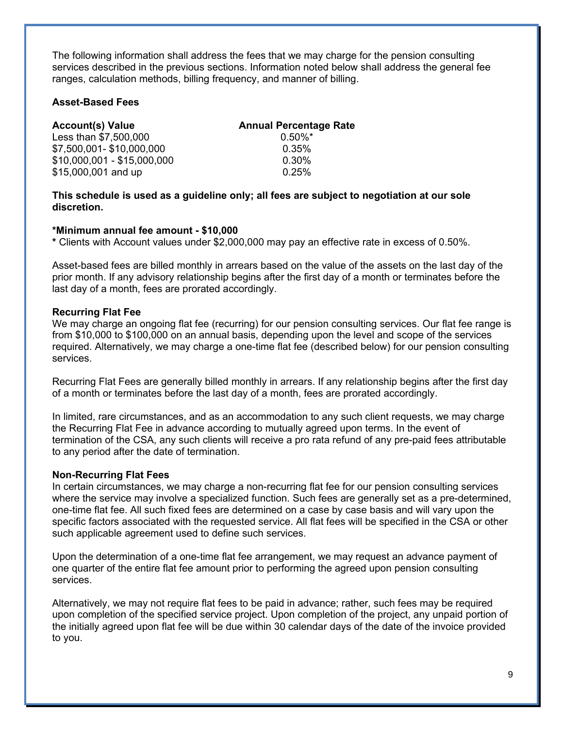The following information shall address the fees that we may charge for the pension consulting services described in the previous sections. Information noted below shall address the general fee ranges, calculation methods, billing frequency, and manner of billing.

### **Asset-Based Fees**

| <b>Account(s) Value</b>     | <b>Annual Percentage Rate</b> |
|-----------------------------|-------------------------------|
| Less than \$7,500,000       | $0.50\%$ *                    |
| \$7,500,001-\$10,000,000    | 0.35%                         |
| \$10,000,001 - \$15,000,000 | 0.30%                         |
| \$15,000,001 and up         | 0.25%                         |

**This schedule is used as a guideline only; all fees are subject to negotiation at our sole discretion.** 

### **\*Minimum annual fee amount - \$10,000**

**\*** Clients with Account values under \$2,000,000 may pay an effective rate in excess of 0.50%.

Asset-based fees are billed monthly in arrears based on the value of the assets on the last day of the prior month. If any advisory relationship begins after the first day of a month or terminates before the last day of a month, fees are prorated accordingly.

### **Recurring Flat Fee**

We may charge an ongoing flat fee (recurring) for our pension consulting services. Our flat fee range is from \$10,000 to \$100,000 on an annual basis, depending upon the level and scope of the services required. Alternatively, we may charge a one-time flat fee (described below) for our pension consulting services.

Recurring Flat Fees are generally billed monthly in arrears. If any relationship begins after the first day of a month or terminates before the last day of a month, fees are prorated accordingly.

In limited, rare circumstances, and as an accommodation to any such client requests, we may charge the Recurring Flat Fee in advance according to mutually agreed upon terms. In the event of termination of the CSA, any such clients will receive a pro rata refund of any pre-paid fees attributable to any period after the date of termination.

#### **Non-Recurring Flat Fees**

In certain circumstances, we may charge a non-recurring flat fee for our pension consulting services where the service may involve a specialized function. Such fees are generally set as a pre-determined, one-time flat fee. All such fixed fees are determined on a case by case basis and will vary upon the specific factors associated with the requested service. All flat fees will be specified in the CSA or other such applicable agreement used to define such services.

Upon the determination of a one-time flat fee arrangement, we may request an advance payment of one quarter of the entire flat fee amount prior to performing the agreed upon pension consulting services.

Alternatively, we may not require flat fees to be paid in advance; rather, such fees may be required upon completion of the specified service project. Upon completion of the project, any unpaid portion of the initially agreed upon flat fee will be due within 30 calendar days of the date of the invoice provided to you.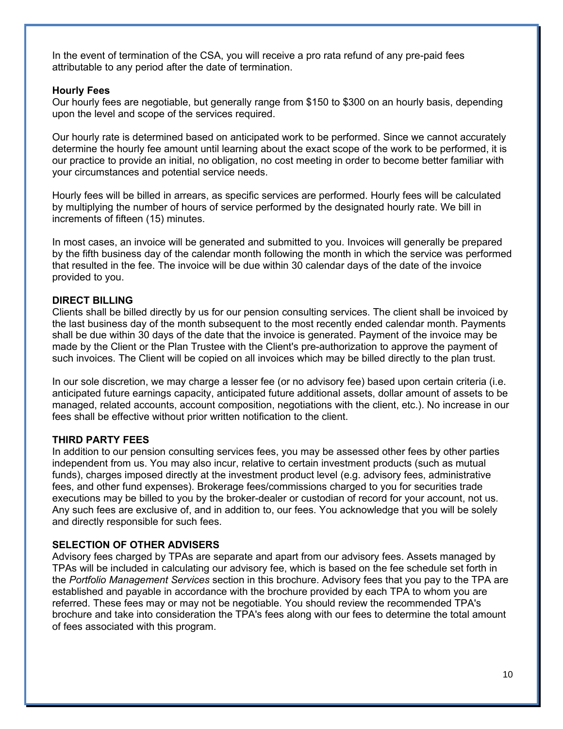In the event of termination of the CSA, you will receive a pro rata refund of any pre-paid fees attributable to any period after the date of termination.

### **Hourly Fees**

Our hourly fees are negotiable, but generally range from \$150 to \$300 on an hourly basis, depending upon the level and scope of the services required.

Our hourly rate is determined based on anticipated work to be performed. Since we cannot accurately determine the hourly fee amount until learning about the exact scope of the work to be performed, it is our practice to provide an initial, no obligation, no cost meeting in order to become better familiar with your circumstances and potential service needs.

Hourly fees will be billed in arrears, as specific services are performed. Hourly fees will be calculated by multiplying the number of hours of service performed by the designated hourly rate. We bill in increments of fifteen (15) minutes.

In most cases, an invoice will be generated and submitted to you. Invoices will generally be prepared by the fifth business day of the calendar month following the month in which the service was performed that resulted in the fee. The invoice will be due within 30 calendar days of the date of the invoice provided to you.

### **DIRECT BILLING**

Clients shall be billed directly by us for our pension consulting services. The client shall be invoiced by the last business day of the month subsequent to the most recently ended calendar month. Payments shall be due within 30 days of the date that the invoice is generated. Payment of the invoice may be made by the Client or the Plan Trustee with the Client's pre-authorization to approve the payment of such invoices. The Client will be copied on all invoices which may be billed directly to the plan trust.

In our sole discretion, we may charge a lesser fee (or no advisory fee) based upon certain criteria (i.e. anticipated future earnings capacity, anticipated future additional assets, dollar amount of assets to be managed, related accounts, account composition, negotiations with the client, etc.). No increase in our fees shall be effective without prior written notification to the client.

#### **THIRD PARTY FEES**

In addition to our pension consulting services fees, you may be assessed other fees by other parties independent from us. You may also incur, relative to certain investment products (such as mutual funds), charges imposed directly at the investment product level (e.g. advisory fees, administrative fees, and other fund expenses). Brokerage fees/commissions charged to you for securities trade executions may be billed to you by the broker-dealer or custodian of record for your account, not us. Any such fees are exclusive of, and in addition to, our fees. You acknowledge that you will be solely and directly responsible for such fees.

### **SELECTION OF OTHER ADVISERS**

Advisory fees charged by TPAs are separate and apart from our advisory fees. Assets managed by TPAs will be included in calculating our advisory fee, which is based on the fee schedule set forth in the *Portfolio Management Services* section in this brochure. Advisory fees that you pay to the TPA are established and payable in accordance with the brochure provided by each TPA to whom you are referred. These fees may or may not be negotiable. You should review the recommended TPA's brochure and take into consideration the TPA's fees along with our fees to determine the total amount of fees associated with this program.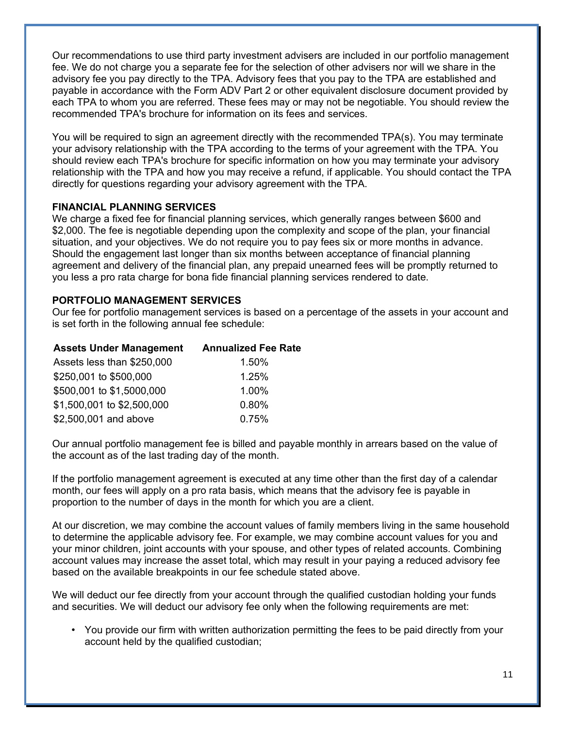Our recommendations to use third party investment advisers are included in our portfolio management fee. We do not charge you a separate fee for the selection of other advisers nor will we share in the advisory fee you pay directly to the TPA. Advisory fees that you pay to the TPA are established and payable in accordance with the Form ADV Part 2 or other equivalent disclosure document provided by each TPA to whom you are referred. These fees may or may not be negotiable. You should review the recommended TPA's brochure for information on its fees and services.

You will be required to sign an agreement directly with the recommended TPA(s). You may terminate your advisory relationship with the TPA according to the terms of your agreement with the TPA. You should review each TPA's brochure for specific information on how you may terminate your advisory relationship with the TPA and how you may receive a refund, if applicable. You should contact the TPA directly for questions regarding your advisory agreement with the TPA.

## **FINANCIAL PLANNING SERVICES**

We charge a fixed fee for financial planning services, which generally ranges between \$600 and \$2,000. The fee is negotiable depending upon the complexity and scope of the plan, your financial situation, and your objectives. We do not require you to pay fees six or more months in advance. Should the engagement last longer than six months between acceptance of financial planning agreement and delivery of the financial plan, any prepaid unearned fees will be promptly returned to you less a pro rata charge for bona fide financial planning services rendered to date.

## **PORTFOLIO MANAGEMENT SERVICES**

Our fee for portfolio management services is based on a percentage of the assets in your account and is set forth in the following annual fee schedule:

| <b>Assets Under Management</b> | <b>Annualized Fee Rate</b> |
|--------------------------------|----------------------------|
| Assets less than \$250,000     | 1.50%                      |
| \$250,001 to \$500,000         | 1.25%                      |
| \$500,001 to \$1,5000,000      | 1.00%                      |
| \$1,500,001 to \$2,500,000     | 0.80%                      |
| \$2,500,001 and above          | 0.75%                      |

Our annual portfolio management fee is billed and payable monthly in arrears based on the value of the account as of the last trading day of the month.

If the portfolio management agreement is executed at any time other than the first day of a calendar month, our fees will apply on a pro rata basis, which means that the advisory fee is payable in proportion to the number of days in the month for which you are a client.

At our discretion, we may combine the account values of family members living in the same household to determine the applicable advisory fee. For example, we may combine account values for you and your minor children, joint accounts with your spouse, and other types of related accounts. Combining account values may increase the asset total, which may result in your paying a reduced advisory fee based on the available breakpoints in our fee schedule stated above.

We will deduct our fee directly from your account through the qualified custodian holding your funds and securities. We will deduct our advisory fee only when the following requirements are met:

• You provide our firm with written authorization permitting the fees to be paid directly from your account held by the qualified custodian;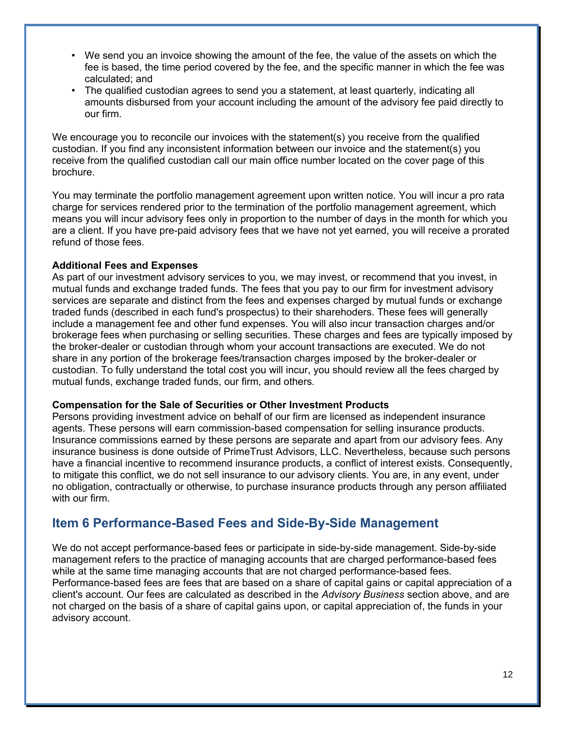- We send you an invoice showing the amount of the fee, the value of the assets on which the fee is based, the time period covered by the fee, and the specific manner in which the fee was calculated; and
- The qualified custodian agrees to send you a statement, at least quarterly, indicating all amounts disbursed from your account including the amount of the advisory fee paid directly to our firm.

We encourage you to reconcile our invoices with the statement(s) you receive from the qualified custodian. If you find any inconsistent information between our invoice and the statement(s) you receive from the qualified custodian call our main office number located on the cover page of this brochure.

You may terminate the portfolio management agreement upon written notice. You will incur a pro rata charge for services rendered prior to the termination of the portfolio management agreement, which means you will incur advisory fees only in proportion to the number of days in the month for which you are a client. If you have pre-paid advisory fees that we have not yet earned, you will receive a prorated refund of those fees.

### **Additional Fees and Expenses**

As part of our investment advisory services to you, we may invest, or recommend that you invest, in mutual funds and exchange traded funds. The fees that you pay to our firm for investment advisory services are separate and distinct from the fees and expenses charged by mutual funds or exchange traded funds (described in each fund's prospectus) to their sharehoders. These fees will generally include a management fee and other fund expenses. You will also incur transaction charges and/or brokerage fees when purchasing or selling securities. These charges and fees are typically imposed by the broker-dealer or custodian through whom your account transactions are executed. We do not share in any portion of the brokerage fees/transaction charges imposed by the broker-dealer or custodian. To fully understand the total cost you will incur, you should review all the fees charged by mutual funds, exchange traded funds, our firm, and others.

### **Compensation for the Sale of Securities or Other Investment Products**

Persons providing investment advice on behalf of our firm are licensed as independent insurance agents. These persons will earn commission-based compensation for selling insurance products. Insurance commissions earned by these persons are separate and apart from our advisory fees. Any insurance business is done outside of PrimeTrust Advisors, LLC. Nevertheless, because such persons have a financial incentive to recommend insurance products, a conflict of interest exists. Consequently, to mitigate this conflict, we do not sell insurance to our advisory clients. You are, in any event, under no obligation, contractually or otherwise, to purchase insurance products through any person affiliated with our firm.

## **Item 6 Performance-Based Fees and Side-By-Side Management**

We do not accept performance-based fees or participate in side-by-side management. Side-by-side management refers to the practice of managing accounts that are charged performance-based fees while at the same time managing accounts that are not charged performance-based fees. Performance-based fees are fees that are based on a share of capital gains or capital appreciation of a client's account. Our fees are calculated as described in the *Advisory Business* section above, and are not charged on the basis of a share of capital gains upon, or capital appreciation of, the funds in your advisory account.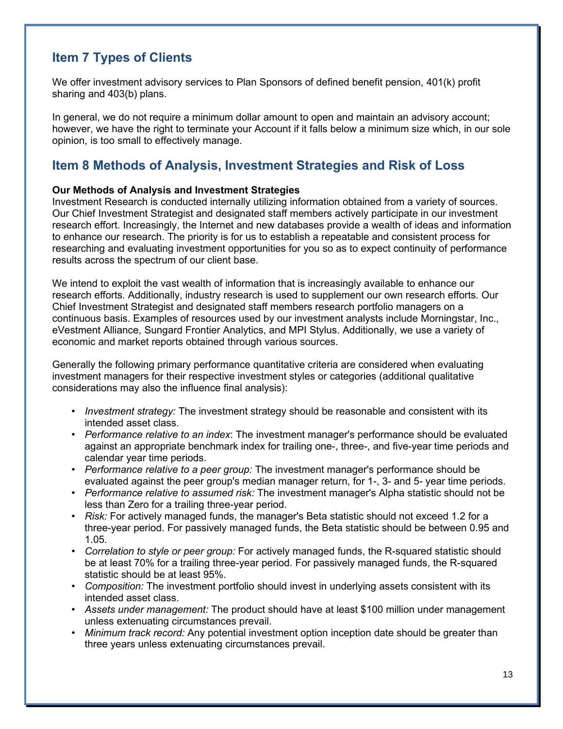## **Item 7 Types of Clients**

We offer investment advisory services to Plan Sponsors of defined benefit pension, 401(k) profit sharing and 403(b) plans.

In general, we do not require a minimum dollar amount to open and maintain an advisory account; however, we have the right to terminate your Account if it falls below a minimum size which, in our sole opinion, is too small to effectively manage.

## **Item 8 Methods of Analysis, Investment Strategies and Risk of Loss**

## **Our Methods of Analysis and Investment Strategies**

Investment Research is conducted internally utilizing information obtained from a variety of sources. Our Chief Investment Strategist and designated staff members actively participate in our investment research effort. Increasingly, the Internet and new databases provide a wealth of ideas and information to enhance our research. The priority is for us to establish a repeatable and consistent process for researching and evaluating investment opportunities for you so as to expect continuity of performance results across the spectrum of our client base.

We intend to exploit the vast wealth of information that is increasingly available to enhance our research efforts. Additionally, industry research is used to supplement our own research efforts. Our Chief Investment Strategist and designated staff members research portfolio managers on a continuous basis. Examples of resources used by our investment analysts include Morningstar, Inc., eVestment Alliance, Sungard Frontier Analytics, and MPI Stylus. Additionally, we use a variety of economic and market reports obtained through various sources.

Generally the following primary performance quantitative criteria are considered when evaluating investment managers for their respective investment styles or categories (additional qualitative considerations may also the influence final analysis):

- *Investment strategy:* The investment strategy should be reasonable and consistent with its intended asset class.
- *Performance relative to an index*: The investment manager's performance should be evaluated against an appropriate benchmark index for trailing one-, three-, and five-year time periods and calendar year time periods.
- *Performance relative to a peer group:* The investment manager's performance should be evaluated against the peer group's median manager return, for 1-, 3- and 5- year time periods.
- *Performance relative to assumed risk:* The investment manager's Alpha statistic should not be less than Zero for a trailing three-year period.
- *Risk:* For actively managed funds, the manager's Beta statistic should not exceed 1.2 for a three-year period. For passively managed funds, the Beta statistic should be between 0.95 and 1.05.
- *Correlation to style or peer group:* For actively managed funds, the R-squared statistic should be at least 70% for a trailing three-year period. For passively managed funds, the R-squared statistic should be at least 95%.
- *Composition:* The investment portfolio should invest in underlying assets consistent with its intended asset class.
- *Assets under management:* The product should have at least \$100 million under management unless extenuating circumstances prevail.
- *Minimum track record:* Any potential investment option inception date should be greater than three years unless extenuating circumstances prevail.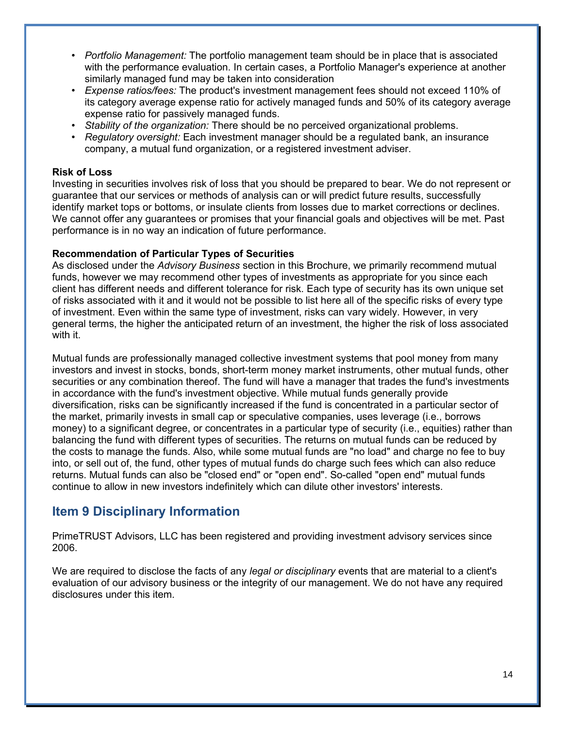- *Portfolio Management:* The portfolio management team should be in place that is associated with the performance evaluation. In certain cases, a Portfolio Manager's experience at another similarly managed fund may be taken into consideration
- *Expense ratios/fees:* The product's investment management fees should not exceed 110% of its category average expense ratio for actively managed funds and 50% of its category average expense ratio for passively managed funds.
- *Stability of the organization:* There should be no perceived organizational problems.
- *Regulatory oversight:* Each investment manager should be a regulated bank, an insurance company, a mutual fund organization, or a registered investment adviser.

#### **Risk of Loss**

Investing in securities involves risk of loss that you should be prepared to bear. We do not represent or guarantee that our services or methods of analysis can or will predict future results, successfully identify market tops or bottoms, or insulate clients from losses due to market corrections or declines. We cannot offer any guarantees or promises that your financial goals and objectives will be met. Past performance is in no way an indication of future performance.

### **Recommendation of Particular Types of Securities**

As disclosed under the *Advisory Business* section in this Brochure, we primarily recommend mutual funds, however we may recommend other types of investments as appropriate for you since each client has different needs and different tolerance for risk. Each type of security has its own unique set of risks associated with it and it would not be possible to list here all of the specific risks of every type of investment. Even within the same type of investment, risks can vary widely. However, in very general terms, the higher the anticipated return of an investment, the higher the risk of loss associated with it.

Mutual funds are professionally managed collective investment systems that pool money from many investors and invest in stocks, bonds, short-term money market instruments, other mutual funds, other securities or any combination thereof. The fund will have a manager that trades the fund's investments in accordance with the fund's investment objective. While mutual funds generally provide diversification, risks can be significantly increased if the fund is concentrated in a particular sector of the market, primarily invests in small cap or speculative companies, uses leverage (i.e., borrows money) to a significant degree, or concentrates in a particular type of security (i.e., equities) rather than balancing the fund with different types of securities. The returns on mutual funds can be reduced by the costs to manage the funds. Also, while some mutual funds are "no load" and charge no fee to buy into, or sell out of, the fund, other types of mutual funds do charge such fees which can also reduce returns. Mutual funds can also be "closed end" or "open end". So-called "open end" mutual funds continue to allow in new investors indefinitely which can dilute other investors' interests.

## **Item 9 Disciplinary Information**

PrimeTRUST Advisors, LLC has been registered and providing investment advisory services since 2006.

We are required to disclose the facts of any *legal or disciplinary* events that are material to a client's evaluation of our advisory business or the integrity of our management. We do not have any required disclosures under this item.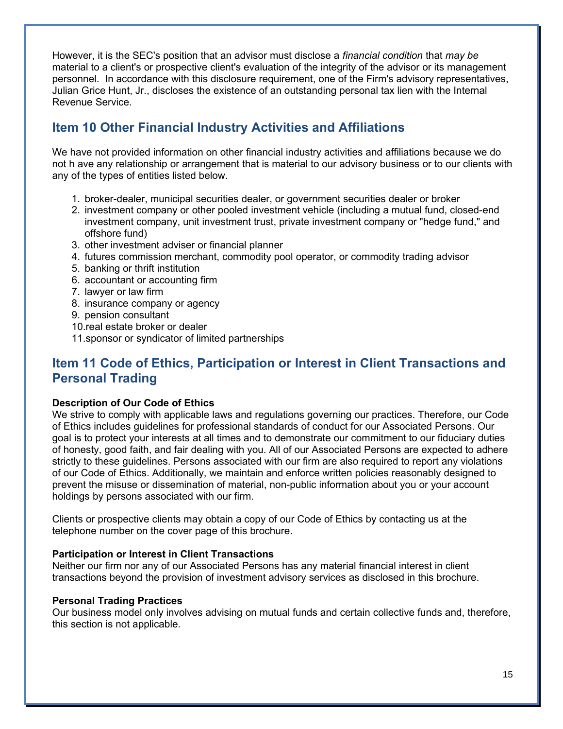However, it is the SEC's position that an advisor must disclose a *financial condition* that *may be* material to a client's or prospective client's evaluation of the integrity of the advisor or its management personnel. In accordance with this disclosure requirement, one of the Firm's advisory representatives, Julian Grice Hunt, Jr., discloses the existence of an outstanding personal tax lien with the Internal Revenue Service.

## **Item 10 Other Financial Industry Activities and Affiliations**

We have not provided information on other financial industry activities and affiliations because we do not h ave any relationship or arrangement that is material to our advisory business or to our clients with any of the types of entities listed below.

- 1. broker-dealer, municipal securities dealer, or government securities dealer or broker
- 2. investment company or other pooled investment vehicle (including a mutual fund, closed-end investment company, unit investment trust, private investment company or "hedge fund," and offshore fund)
- 3. other investment adviser or financial planner
- 4. futures commission merchant, commodity pool operator, or commodity trading advisor
- 5. banking or thrift institution
- 6. accountant or accounting firm
- 7. lawyer or law firm
- 8. insurance company or agency
- 9. pension consultant
- 10.real estate broker or dealer
- 11.sponsor or syndicator of limited partnerships

## **Item 11 Code of Ethics, Participation or Interest in Client Transactions and Personal Trading**

## **Description of Our Code of Ethics**

We strive to comply with applicable laws and regulations governing our practices. Therefore, our Code of Ethics includes guidelines for professional standards of conduct for our Associated Persons. Our goal is to protect your interests at all times and to demonstrate our commitment to our fiduciary duties of honesty, good faith, and fair dealing with you. All of our Associated Persons are expected to adhere strictly to these guidelines. Persons associated with our firm are also required to report any violations of our Code of Ethics. Additionally, we maintain and enforce written policies reasonably designed to prevent the misuse or dissemination of material, non-public information about you or your account holdings by persons associated with our firm.

Clients or prospective clients may obtain a copy of our Code of Ethics by contacting us at the telephone number on the cover page of this brochure.

### **Participation or Interest in Client Transactions**

Neither our firm nor any of our Associated Persons has any material financial interest in client transactions beyond the provision of investment advisory services as disclosed in this brochure.

### **Personal Trading Practices**

Our business model only involves advising on mutual funds and certain collective funds and, therefore, this section is not applicable.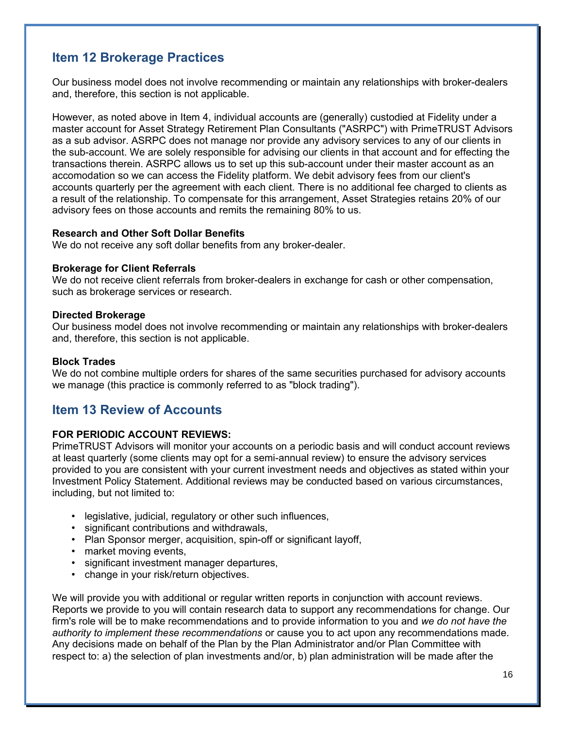## **Item 12 Brokerage Practices**

Our business model does not involve recommending or maintain any relationships with broker-dealers and, therefore, this section is not applicable.

However, as noted above in Item 4, individual accounts are (generally) custodied at Fidelity under a master account for Asset Strategy Retirement Plan Consultants ("ASRPC") with PrimeTRUST Advisors as a sub advisor. ASRPC does not manage nor provide any advisory services to any of our clients in the sub-account. We are solely responsible for advising our clients in that account and for effecting the transactions therein. ASRPC allows us to set up this sub-account under their master account as an accomodation so we can access the Fidelity platform. We debit advisory fees from our client's accounts quarterly per the agreement with each client. There is no additional fee charged to clients as a result of the relationship. To compensate for this arrangement, Asset Strategies retains 20% of our advisory fees on those accounts and remits the remaining 80% to us.

### **Research and Other Soft Dollar Benefits**

We do not receive any soft dollar benefits from any broker-dealer.

### **Brokerage for Client Referrals**

We do not receive client referrals from broker-dealers in exchange for cash or other compensation, such as brokerage services or research.

### **Directed Brokerage**

Our business model does not involve recommending or maintain any relationships with broker-dealers and, therefore, this section is not applicable.

### **Block Trades**

We do not combine multiple orders for shares of the same securities purchased for advisory accounts we manage (this practice is commonly referred to as "block trading").

## **Item 13 Review of Accounts**

## **FOR PERIODIC ACCOUNT REVIEWS:**

PrimeTRUST Advisors will monitor your accounts on a periodic basis and will conduct account reviews at least quarterly (some clients may opt for a semi-annual review) to ensure the advisory services provided to you are consistent with your current investment needs and objectives as stated within your Investment Policy Statement. Additional reviews may be conducted based on various circumstances, including, but not limited to:

- legislative, judicial, regulatory or other such influences,
- significant contributions and withdrawals,
- Plan Sponsor merger, acquisition, spin-off or significant layoff,
- market moving events,
- significant investment manager departures,
- change in your risk/return objectives.

We will provide you with additional or regular written reports in conjunction with account reviews. Reports we provide to you will contain research data to support any recommendations for change. Our firm's role will be to make recommendations and to provide information to you and *we do not have the authority to implement these recommendations* or cause you to act upon any recommendations made. Any decisions made on behalf of the Plan by the Plan Administrator and/or Plan Committee with respect to: a) the selection of plan investments and/or, b) plan administration will be made after the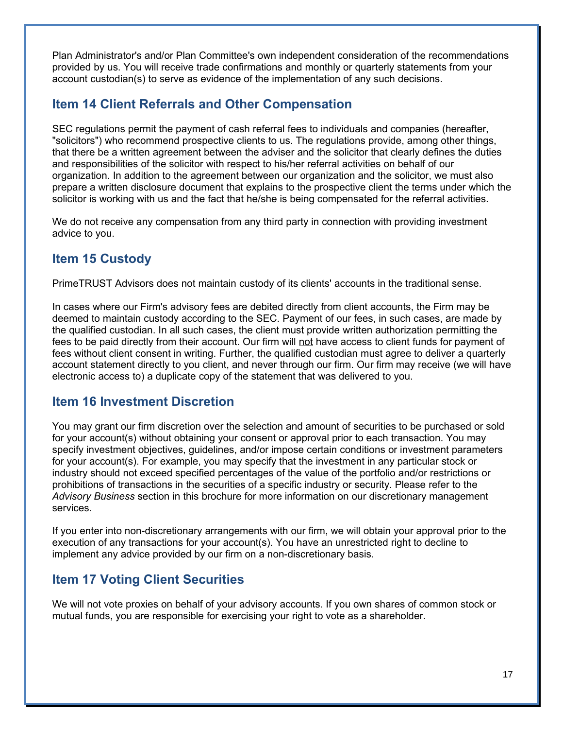Plan Administrator's and/or Plan Committee's own independent consideration of the recommendations provided by us. You will receive trade confirmations and monthly or quarterly statements from your account custodian(s) to serve as evidence of the implementation of any such decisions.

## **Item 14 Client Referrals and Other Compensation**

SEC regulations permit the payment of cash referral fees to individuals and companies (hereafter, "solicitors") who recommend prospective clients to us. The regulations provide, among other things, that there be a written agreement between the adviser and the solicitor that clearly defines the duties and responsibilities of the solicitor with respect to his/her referral activities on behalf of our organization. In addition to the agreement between our organization and the solicitor, we must also prepare a written disclosure document that explains to the prospective client the terms under which the solicitor is working with us and the fact that he/she is being compensated for the referral activities.

We do not receive any compensation from any third party in connection with providing investment advice to you.

## **Item 15 Custody**

PrimeTRUST Advisors does not maintain custody of its clients' accounts in the traditional sense.

In cases where our Firm's advisory fees are debited directly from client accounts, the Firm may be deemed to maintain custody according to the SEC. Payment of our fees, in such cases, are made by the qualified custodian. In all such cases, the client must provide written authorization permitting the fees to be paid directly from their account. Our firm will not have access to client funds for payment of fees without client consent in writing. Further, the qualified custodian must agree to deliver a quarterly account statement directly to you client, and never through our firm. Our firm may receive (we will have electronic access to) a duplicate copy of the statement that was delivered to you.

## **Item 16 Investment Discretion**

You may grant our firm discretion over the selection and amount of securities to be purchased or sold for your account(s) without obtaining your consent or approval prior to each transaction. You may specify investment objectives, guidelines, and/or impose certain conditions or investment parameters for your account(s). For example, you may specify that the investment in any particular stock or industry should not exceed specified percentages of the value of the portfolio and/or restrictions or prohibitions of transactions in the securities of a specific industry or security. Please refer to the *Advisory Business* section in this brochure for more information on our discretionary management services.

If you enter into non-discretionary arrangements with our firm, we will obtain your approval prior to the execution of any transactions for your account(s). You have an unrestricted right to decline to implement any advice provided by our firm on a non-discretionary basis.

## **Item 17 Voting Client Securities**

We will not vote proxies on behalf of your advisory accounts. If you own shares of common stock or mutual funds, you are responsible for exercising your right to vote as a shareholder.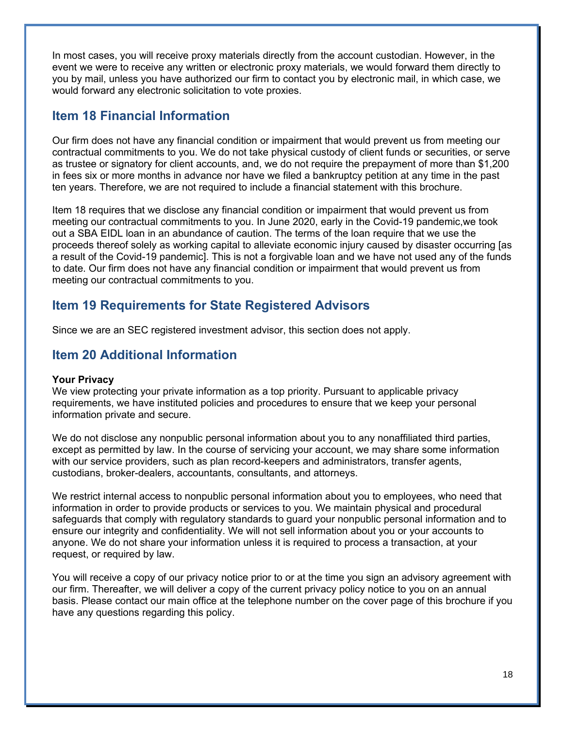In most cases, you will receive proxy materials directly from the account custodian. However, in the event we were to receive any written or electronic proxy materials, we would forward them directly to you by mail, unless you have authorized our firm to contact you by electronic mail, in which case, we would forward any electronic solicitation to vote proxies.

## **Item 18 Financial Information**

Our firm does not have any financial condition or impairment that would prevent us from meeting our contractual commitments to you. We do not take physical custody of client funds or securities, or serve as trustee or signatory for client accounts, and, we do not require the prepayment of more than \$1,200 in fees six or more months in advance nor have we filed a bankruptcy petition at any time in the past ten years. Therefore, we are not required to include a financial statement with this brochure.

Item 18 requires that we disclose any financial condition or impairment that would prevent us from meeting our contractual commitments to you. In June 2020, early in the Covid-19 pandemic,we took out a SBA EIDL loan in an abundance of caution. The terms of the loan require that we use the proceeds thereof solely as working capital to alleviate economic injury caused by disaster occurring [as a result of the Covid-19 pandemic]. This is not a forgivable loan and we have not used any of the funds to date. Our firm does not have any financial condition or impairment that would prevent us from meeting our contractual commitments to you.

## **Item 19 Requirements for State Registered Advisors**

Since we are an SEC registered investment advisor, this section does not apply.

## **Item 20 Additional Information**

## **Your Privacy**

We view protecting your private information as a top priority. Pursuant to applicable privacy requirements, we have instituted policies and procedures to ensure that we keep your personal information private and secure.

We do not disclose any nonpublic personal information about you to any nonaffiliated third parties, except as permitted by law. In the course of servicing your account, we may share some information with our service providers, such as plan record-keepers and administrators, transfer agents, custodians, broker-dealers, accountants, consultants, and attorneys.

We restrict internal access to nonpublic personal information about you to employees, who need that information in order to provide products or services to you. We maintain physical and procedural safeguards that comply with regulatory standards to guard your nonpublic personal information and to ensure our integrity and confidentiality. We will not sell information about you or your accounts to anyone. We do not share your information unless it is required to process a transaction, at your request, or required by law.

You will receive a copy of our privacy notice prior to or at the time you sign an advisory agreement with our firm. Thereafter, we will deliver a copy of the current privacy policy notice to you on an annual basis. Please contact our main office at the telephone number on the cover page of this brochure if you have any questions regarding this policy.